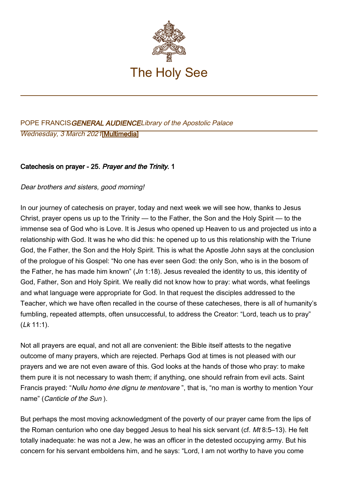

# POPE FRANCISGENERAL AUDIENCELibrary of the Apostolic Palace Wednesday, 3 March 2021[[Multimedia\]](http://w2.vatican.va/content/francesco/en/events/event.dir.html/content/vaticanevents/en/2021/3/3/udienzagenerale.html)

## Catechesis on prayer - 25. Prayer and the Trinity. 1

Dear brothers and sisters, good morning!

In our journey of catechesis on prayer, today and next week we will see how, thanks to Jesus Christ, prayer opens us up to the Trinity — to the Father, the Son and the Holy Spirit — to the immense sea of God who is Love. It is Jesus who opened up Heaven to us and projected us into a relationship with God. It was he who did this: he opened up to us this relationship with the Triune God, the Father, the Son and the Holy Spirit. This is what the Apostle John says at the conclusion of the prologue of his Gospel: "No one has ever seen God: the only Son, who is in the bosom of the Father, he has made him known" (*Jn* 1:18). Jesus revealed the identity to us, this identity of God, Father, Son and Holy Spirit. We really did not know how to pray: what words, what feelings and what language were appropriate for God. In that request the disciples addressed to the Teacher, which we have often recalled in the course of these catecheses, there is all of humanity's fumbling, repeated attempts, often unsuccessful, to address the Creator: "Lord, teach us to pray"  $(Lk 11:1)$ .

Not all prayers are equal, and not all are convenient: the Bible itself attests to the negative outcome of many prayers, which are rejected. Perhaps God at times is not pleased with our prayers and we are not even aware of this. God looks at the hands of those who pray: to make them pure it is not necessary to wash them; if anything, one should refrain from evil acts. Saint Francis prayed: "Nullu homo ène dignu te mentovare ", that is, "no man is worthy to mention Your name" (Canticle of the Sun ).

But perhaps the most moving acknowledgment of the poverty of our prayer came from the lips of the Roman centurion who one day begged Jesus to heal his sick servant (cf. Mt 8:5–13). He felt totally inadequate: he was not a Jew, he was an officer in the detested occupying army. But his concern for his servant emboldens him, and he says: "Lord, I am not worthy to have you come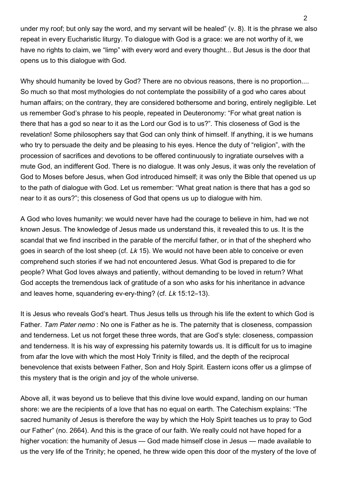under my roof; but only say the word, and my servant will be healed" (v. 8). It is the phrase we also repeat in every Eucharistic liturgy. To dialogue with God is a grace: we are not worthy of it, we have no rights to claim, we "limp" with every word and every thought... But Jesus is the door that opens us to this dialogue with God.

Why should humanity be loved by God? There are no obvious reasons, there is no proportion.... So much so that most mythologies do not contemplate the possibility of a god who cares about human affairs; on the contrary, they are considered bothersome and boring, entirely negligible. Let us remember God's phrase to his people, repeated in Deuteronomy: "For what great nation is there that has a god so near to it as the Lord our God is to us?". This closeness of God is the revelation! Some philosophers say that God can only think of himself. If anything, it is we humans who try to persuade the deity and be pleasing to his eyes. Hence the duty of "religion", with the procession of sacrifices and devotions to be offered continuously to ingratiate ourselves with a mute God, an indifferent God. There is no dialogue. It was only Jesus, it was only the revelation of God to Moses before Jesus, when God introduced himself; it was only the Bible that opened us up to the path of dialogue with God. Let us remember: "What great nation is there that has a god so near to it as ours?"; this closeness of God that opens us up to dialogue with him.

A God who loves humanity: we would never have had the courage to believe in him, had we not known Jesus. The knowledge of Jesus made us understand this, it revealed this to us. It is the scandal that we find inscribed in the parable of the merciful father, or in that of the shepherd who goes in search of the lost sheep (cf. Lk 15). We would not have been able to conceive or even comprehend such stories if we had not encountered Jesus. What God is prepared to die for people? What God loves always and patiently, without demanding to be loved in return? What God accepts the tremendous lack of gratitude of a son who asks for his inheritance in advance and leaves home, squandering ev-ery-thing? (cf. Lk 15:12–13).

It is Jesus who reveals God's heart. Thus Jesus tells us through his life the extent to which God is Father. Tam Pater nemo : No one is Father as he is. The paternity that is closeness, compassion and tenderness. Let us not forget these three words, that are God's style: closeness, compassion and tenderness. It is his way of expressing his paternity towards us. It is difficult for us to imagine from afar the love with which the most Holy Trinity is filled, and the depth of the reciprocal benevolence that exists between Father, Son and Holy Spirit. Eastern icons offer us a glimpse of this mystery that is the origin and joy of the whole universe.

Above all, it was beyond us to believe that this divine love would expand, landing on our human shore: we are the recipients of a love that has no equal on earth. The Catechism explains: "The sacred humanity of Jesus is therefore the way by which the Holy Spirit teaches us to pray to God our Father" (no. 2664). And this is the grace of our faith. We really could not have hoped for a higher vocation: the humanity of Jesus — God made himself close in Jesus — made available to us the very life of the Trinity; he opened, he threw wide open this door of the mystery of the love of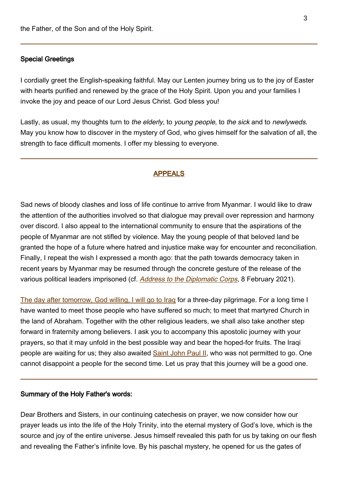### Special Greetings

I cordially greet the English-speaking faithful. May our Lenten journey bring us to the joy of Easter with hearts purified and renewed by the grace of the Holy Spirit. Upon you and your families I invoke the joy and peace of our Lord Jesus Christ. God bless you!

Lastly, as usual, my thoughts turn to the elderly, to young people, to the sick and to newlyweds. May you know how to discover in the mystery of God, who gives himself for the salvation of all, the strength to face difficult moments. I offer my blessing to everyone.

#### APPEALS

Sad news of bloody clashes and loss of life continue to arrive from Myanmar. I would like to draw the attention of the authorities involved so that dialogue may prevail over repression and harmony over discord. I also appeal to the international community to ensure that the aspirations of the people of Myanmar are not stifled by violence. May the young people of that beloved land be granted the hope of a future where hatred and injustice make way for encounter and reconciliation. Finally, I repeat the wish I expressed a month ago: that the path towards democracy taken in recent years by Myanmar may be resumed through the concrete gesture of the release of the various political leaders imprisoned (cf. [Address to the Diplomatic Corps](http://www.vatican.va/content/francesco/en/speeches/2021/february/documents/papa-francesco_20210208_corpo-diplomatico.html), 8 February 2021).

[The day after tomorrow, God willing, I will go to Iraq](http://www.vatican.va/content/francesco/en/travels/2021/outside/documents/papa-francesco-iraq-2021.html) for a three-day pilgrimage. For a long time I have wanted to meet those people who have suffered so much; to meet that martyred Church in the land of Abraham. Together with the other religious leaders, we shall also take another step forward in fraternity among believers. I ask you to accompany this apostolic journey with your prayers, so that it may unfold in the best possible way and bear the hoped-for fruits. The Iraqi people are waiting for us; they also awaited [Saint John Paul II](http://www.vatican.va/content/john-paul-ii/en.html), who was not permitted to go. One cannot disappoint a people for the second time. Let us pray that this journey will be a good one.

### Summary of the Holy Father's words:

Dear Brothers and Sisters, in our continuing catechesis on prayer, we now consider how our prayer leads us into the life of the Holy Trinity, into the eternal mystery of God's love, which is the source and joy of the entire universe. Jesus himself revealed this path for us by taking on our flesh and revealing the Father's infinite love. By his paschal mystery, he opened for us the gates of